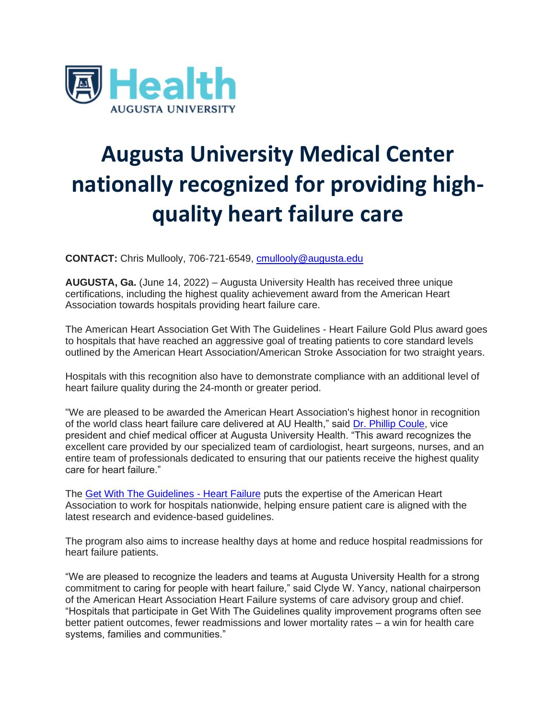

## **Augusta University Medical Center nationally recognized for providing highquality heart failure care**

**CONTACT:** Chris Mullooly, 706-721-6549, [cmullooly@augusta.edu](mailto:cmullooly@augusta.edu) 

**AUGUSTA, Ga.** (June 14, 2022) – Augusta University Health has received three unique certifications, including the highest quality achievement award from the American Heart Association towards hospitals providing heart failure care.

The American Heart Association Get With The Guidelines - Heart Failure Gold Plus award goes to hospitals that have reached an aggressive goal of treating patients to core standard levels outlined by the American Heart Association/American Stroke Association for two straight years.

Hospitals with this recognition also have to demonstrate compliance with an additional level of heart failure quality during the 24-month or greater period.

"We are pleased to be awarded the American Heart Association's highest honor in recognition of the world class heart failure care delivered at AU Health," said [Dr. Phillip Coule,](https://u7061146.ct.sendgrid.net/ls/click?upn=4tNED-2FM8iDZJQyQ53jATUToetTEwgfpsO3LgT6kAXBfuHhhgbvfm3KOGyWPJiPiAcq8YO3nIv2yLsCwLRJei1g-3D-3D47J1_eGIjsu2lTELDChcxrWIy7Xj-2BJR9cLt3WVNgz9L7qKlVxDiHh-2Fjn6Rl-2F9WwAKsKIShM-2FF-2B1sNvRvZK2aXQ1N6ZiJnKttDI5JSiQH1ww-2BYUtPyLpNdY-2FmXIrlrV6JEiqTVmZamT8rFhy49uoT74V8EBesq821j9fe-2FKrHTnwhZ6B9ZAvEeg3hq5PXW-2F-2F4Vp4kFT2-2FTM1JC6-2FqtxvsCW118qmbDBrWkg5Iyh7mpRyh3MCyoHFC-2B64FjATrWBGvG1y92TvYKGzfFbDoS-2FtLv-2Br28176BMpzw1zhSbTFTrPbHa7-2FAKOAC1q-2FUYaUU9PUM3NHO9BxiJV4nuqwoHq0uPV7XmZSgW02pyeLE-2B-2BGTzAlMuhc-3D) vice president and chief medical officer at Augusta University Health. "This award recognizes the excellent care provided by our specialized team of cardiologist, heart surgeons, nurses, and an entire team of professionals dedicated to ensuring that our patients receive the highest quality care for heart failure."

The [Get With The Guidelines -](https://u7061146.ct.sendgrid.net/ls/click?upn=4tNED-2FM8iDZJQyQ53jATUUUzc3QcOUlndsv5alZOA9s2xb4v21VTm8O7JYedR-2FA1ZR8ZvsQ-2BCk3bd4ANgVpETvmAX1w-2FkoC7txjL5P05-2Fg51ylRQ5TQvRlWCYXEzYQbKQh1PQMk22EVR2DdKjEasUxKTn62SxFTm5rSBzROehbU-3DA-QK_eGIjsu2lTELDChcxrWIy7Xj-2BJR9cLt3WVNgz9L7qKlVxDiHh-2Fjn6Rl-2F9WwAKsKIShM-2FF-2B1sNvRvZK2aXQ1N6ZiJnKttDI5JSiQH1ww-2BYUtPyLpNdY-2FmXIrlrV6JEiqTVmZamT8rFhy49uoT74V8EBesq821j9fe-2FKrHTnwhZ6B9ZAvEeg3hq5PXW-2F-2F4Vp4kF5DgH1cDn8XOWFT0LhUsDlG6kKmAi4UvT6mcjUXFWqitJEJnE4uUKrZKVf990JJO6M-2Bm7gd5iHQdwfVsQm3RrP3jHNA59BxBeRY1e9DCDWq4k3SPyytd5bTamp-2BXKO7WKVn-2BIxMhatJ-2BHI5zkTVLqBeWeogwZuC7SH0q4nu0i-2FWI-3D) Heart Failure puts the expertise of the American Heart Association to work for hospitals nationwide, helping ensure patient care is aligned with the latest research and evidence-based guidelines.

The program also aims to increase healthy days at home and reduce hospital readmissions for heart failure patients.

"We are pleased to recognize the leaders and teams at Augusta University Health for a strong commitment to caring for people with heart failure," said Clyde W. Yancy, national chairperson of the American Heart Association Heart Failure systems of care advisory group and chief. "Hospitals that participate in Get With The Guidelines quality improvement programs often see better patient outcomes, fewer readmissions and lower mortality rates – a win for health care systems, families and communities."